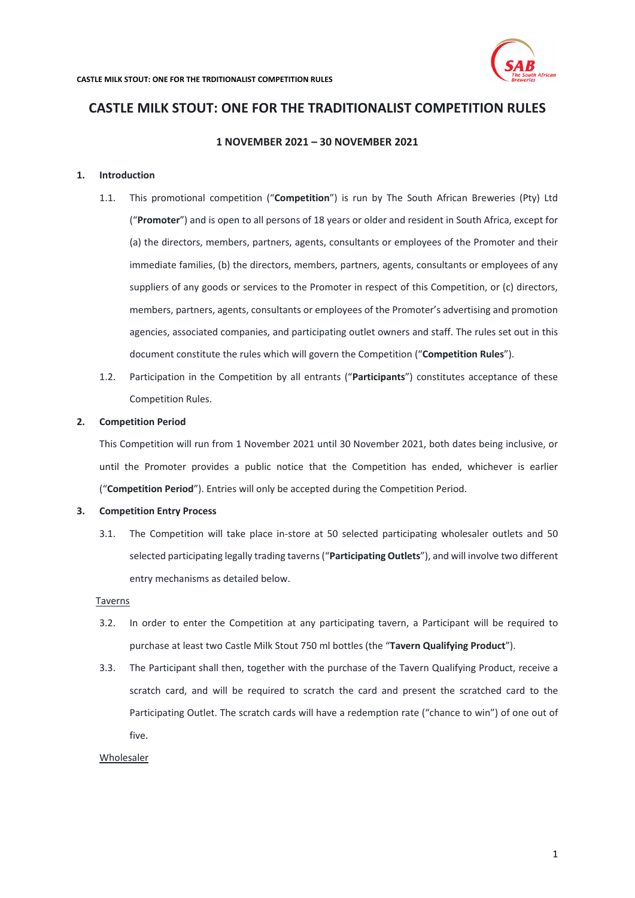

# **1 NOVEMBER 2021 – 30 NOVEMBER 2021**

## **1. Introduction**

- 1.1. This promotional competition ("**Competition**") is run by The South African Breweries (Pty) Ltd ("**Promoter**") and is open to all persons of 18 years or older and resident in South Africa, except for (a) the directors, members, partners, agents, consultants or employees of the Promoter and their immediate families, (b) the directors, members, partners, agents, consultants or employees of any suppliers of any goods or services to the Promoter in respect of this Competition, or (c) directors, members, partners, agents, consultants or employees of the Promoter's advertising and promotion agencies, associated companies, and participating outlet owners and staff. The rules set out in this document constitute the rules which will govern the Competition ("**Competition Rules**").
- 1.2. Participation in the Competition by all entrants ("**Participants**") constitutes acceptance of these Competition Rules.

## **2. Competition Period**

This Competition will run from 1 November 2021 until 30 November 2021, both dates being inclusive, or until the Promoter provides a public notice that the Competition has ended, whichever is earlier ("**Competition Period**"). Entries will only be accepted during the Competition Period.

#### **3. Competition Entry Process**

3.1. The Competition will take place in-store at 50 selected participating wholesaler outlets and 50 selected participating legally trading taverns ("**Participating Outlets**"), and will involve two different entry mechanisms as detailed below.

## <span id="page-0-0"></span>Taverns

- 3.2. In order to enter the Competition at any participating tavern, a Participant will be required to purchase at least two Castle Milk Stout 750 ml bottles (the "**Tavern Qualifying Product**").
- <span id="page-0-1"></span>3.3. The Participant shall then, together with the purchase of the Tavern Qualifying Product, receive a scratch card, and will be required to scratch the card and present the scratched card to the Participating Outlet. The scratch cards will have a redemption rate ("chance to win") of one out of five.

#### Wholesaler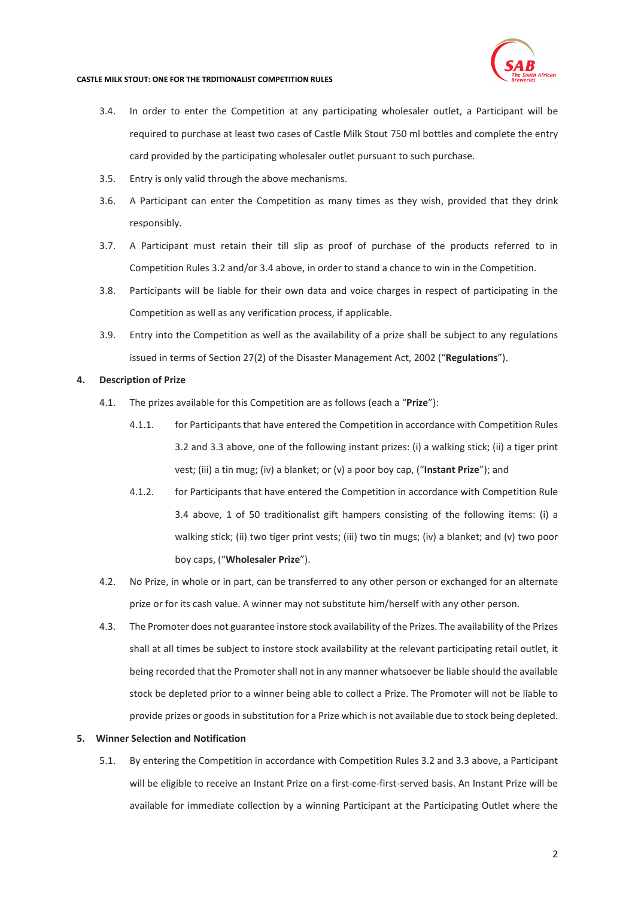

- <span id="page-1-0"></span>3.4. In order to enter the Competition at any participating wholesaler outlet, a Participant will be required to purchase at least two cases of Castle Milk Stout 750 ml bottles and complete the entry card provided by the participating wholesaler outlet pursuant to such purchase.
- 3.5. Entry is only valid through the above mechanisms.
- 3.6. A Participant can enter the Competition as many times as they wish, provided that they drink responsibly.
- 3.7. A Participant must retain their till slip as proof of purchase of the products referred to in Competition Rule[s 3.2](#page-0-0) and/or [3.4](#page-1-0) above, in order to stand a chance to win in the Competition.
- 3.8. Participants will be liable for their own data and voice charges in respect of participating in the Competition as well as any verification process, if applicable.
- 3.9. Entry into the Competition as well as the availability of a prize shall be subject to any regulations issued in terms of Section 27(2) of the Disaster Management Act, 2002 ("**Regulations**").

# **4. Description of Prize**

- 4.1. The prizes available for this Competition are as follows (each a "**Prize**"):
	- 4.1.1. for Participants that have entered the Competition in accordance with Competition Rules [3.2](#page-0-0) and [3.3](#page-0-1) above, one of the following instant prizes: (i) a walking stick; (ii) a tiger print vest; (iii) a tin mug; (iv) a blanket; or (v) a poor boy cap, ("**Instant Prize**"); and
	- 4.1.2. for Participants that have entered the Competition in accordance with Competition Rule [3.4](#page-1-0) above, 1 of 50 traditionalist gift hampers consisting of the following items: (i) a walking stick; (ii) two tiger print vests; (iii) two tin mugs; (iv) a blanket; and (v) two poor boy caps, ("**Wholesaler Prize**").
- 4.2. No Prize, in whole or in part, can be transferred to any other person or exchanged for an alternate prize or for its cash value. A winner may not substitute him/herself with any other person.
- 4.3. The Promoter does not guarantee instore stock availability of the Prizes. The availability of the Prizes shall at all times be subject to instore stock availability at the relevant participating retail outlet, it being recorded that the Promoter shall not in any manner whatsoever be liable should the available stock be depleted prior to a winner being able to collect a Prize. The Promoter will not be liable to provide prizes or goods in substitution for a Prize which is not available due to stock being depleted.

# **5. Winner Selection and Notification**

5.1. By entering the Competition in accordance with Competition Rules [3.2](#page-0-0) an[d 3.3](#page-0-1) above, a Participant will be eligible to receive an Instant Prize on a first-come-first-served basis. An Instant Prize will be available for immediate collection by a winning Participant at the Participating Outlet where the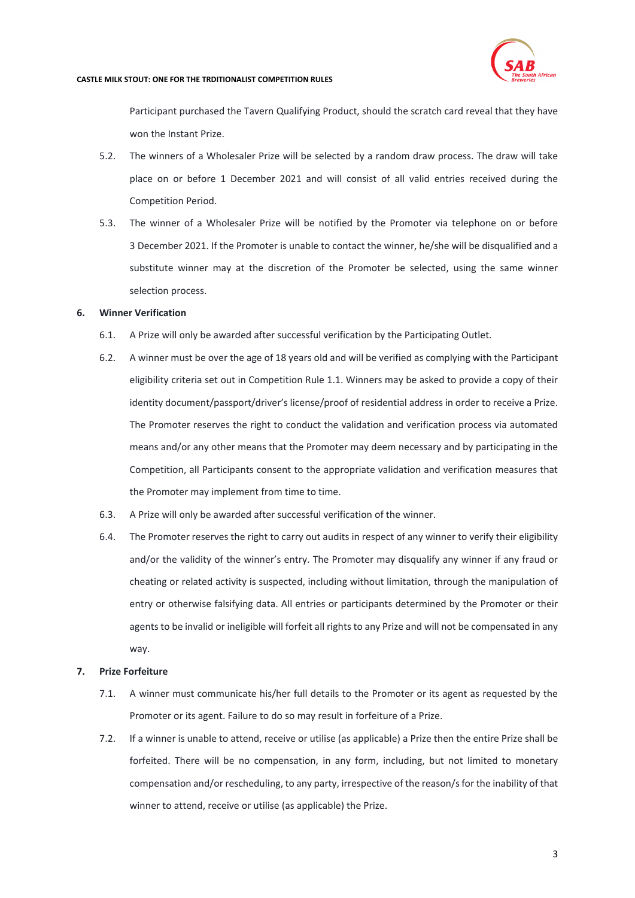

Participant purchased the Tavern Qualifying Product, should the scratch card reveal that they have won the Instant Prize.

- 5.2. The winners of a Wholesaler Prize will be selected by a random draw process. The draw will take place on or before 1 December 2021 and will consist of all valid entries received during the Competition Period.
- 5.3. The winner of a Wholesaler Prize will be notified by the Promoter via telephone on or before 3 December 2021. If the Promoter is unable to contact the winner, he/she will be disqualified and a substitute winner may at the discretion of the Promoter be selected, using the same winner selection process.

# **6. Winner Verification**

- 6.1. A Prize will only be awarded after successful verification by the Participating Outlet.
- 6.2. A winner must be over the age of 18 years old and will be verified as complying with the Participant eligibility criteria set out in Competition Rule 1.1. Winners may be asked to provide a copy of their identity document/passport/driver's license/proof of residential address in order to receive a Prize. The Promoter reserves the right to conduct the validation and verification process via automated means and/or any other means that the Promoter may deem necessary and by participating in the Competition, all Participants consent to the appropriate validation and verification measures that the Promoter may implement from time to time.
- 6.3. A Prize will only be awarded after successful verification of the winner.
- 6.4. The Promoter reserves the right to carry out audits in respect of any winner to verify their eligibility and/or the validity of the winner's entry. The Promoter may disqualify any winner if any fraud or cheating or related activity is suspected, including without limitation, through the manipulation of entry or otherwise falsifying data. All entries or participants determined by the Promoter or their agents to be invalid or ineligible will forfeit all rights to any Prize and will not be compensated in any way.

# **7. Prize Forfeiture**

- 7.1. A winner must communicate his/her full details to the Promoter or its agent as requested by the Promoter or its agent. Failure to do so may result in forfeiture of a Prize.
- 7.2. If a winner is unable to attend, receive or utilise (as applicable) a Prize then the entire Prize shall be forfeited. There will be no compensation, in any form, including, but not limited to monetary compensation and/or rescheduling, to any party, irrespective of the reason/s for the inability of that winner to attend, receive or utilise (as applicable) the Prize.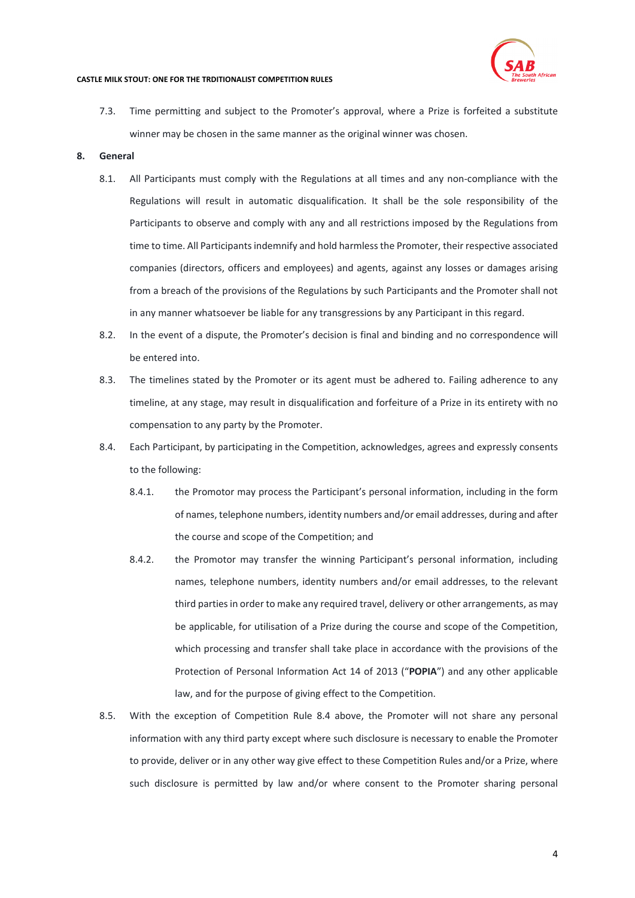

7.3. Time permitting and subject to the Promoter's approval, where a Prize is forfeited a substitute winner may be chosen in the same manner as the original winner was chosen.

#### **8. General**

- 8.1. All Participants must comply with the Regulations at all times and any non-compliance with the Regulations will result in automatic disqualification. It shall be the sole responsibility of the Participants to observe and comply with any and all restrictions imposed by the Regulations from time to time. All Participants indemnify and hold harmless the Promoter, their respective associated companies (directors, officers and employees) and agents, against any losses or damages arising from a breach of the provisions of the Regulations by such Participants and the Promoter shall not in any manner whatsoever be liable for any transgressions by any Participant in this regard.
- 8.2. In the event of a dispute, the Promoter's decision is final and binding and no correspondence will be entered into.
- 8.3. The timelines stated by the Promoter or its agent must be adhered to. Failing adherence to any timeline, at any stage, may result in disqualification and forfeiture of a Prize in its entirety with no compensation to any party by the Promoter.
- <span id="page-3-0"></span>8.4. Each Participant, by participating in the Competition, acknowledges, agrees and expressly consents to the following:
	- 8.4.1. the Promotor may process the Participant's personal information, including in the form of names, telephone numbers, identity numbers and/or email addresses, during and after the course and scope of the Competition; and
	- 8.4.2. the Promotor may transfer the winning Participant's personal information, including names, telephone numbers, identity numbers and/or email addresses, to the relevant third parties in order to make any required travel, delivery or other arrangements, as may be applicable, for utilisation of a Prize during the course and scope of the Competition, which processing and transfer shall take place in accordance with the provisions of the Protection of Personal Information Act 14 of 2013 ("**POPIA**") and any other applicable law, and for the purpose of giving effect to the Competition.
- 8.5. With the exception of Competition Rule [8.4](#page-3-0) above, the Promoter will not share any personal information with any third party except where such disclosure is necessary to enable the Promoter to provide, deliver or in any other way give effect to these Competition Rules and/or a Prize, where such disclosure is permitted by law and/or where consent to the Promoter sharing personal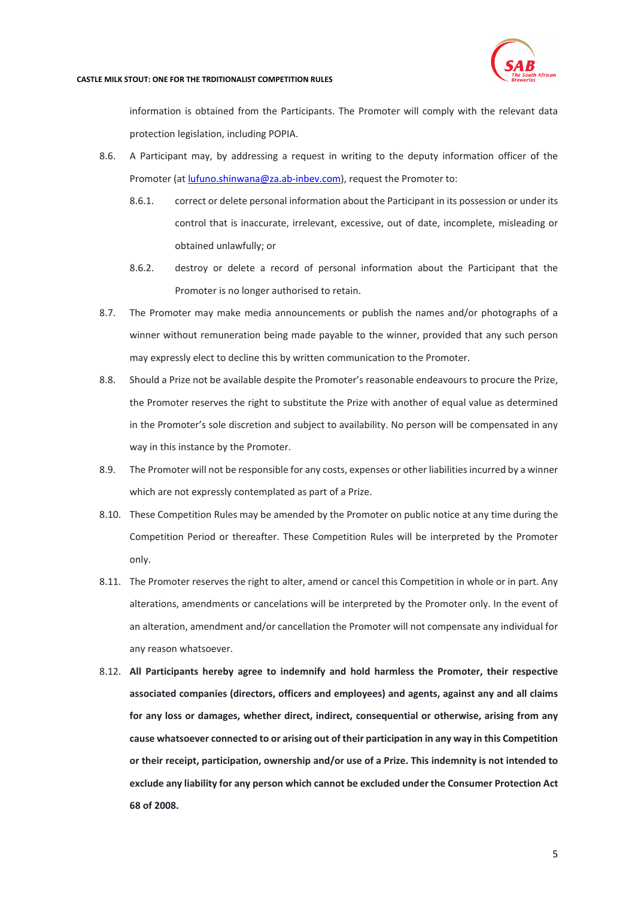

information is obtained from the Participants. The Promoter will comply with the relevant data protection legislation, including POPIA.

- 8.6. A Participant may, by addressing a request in writing to the deputy information officer of the Promoter (at *lufuno.shinwana@za.ab-inbev.com*), request the Promoter to:
	- 8.6.1. correct or delete personal information about the Participant in its possession or under its control that is inaccurate, irrelevant, excessive, out of date, incomplete, misleading or obtained unlawfully; or
	- 8.6.2. destroy or delete a record of personal information about the Participant that the Promoter is no longer authorised to retain.
- 8.7. The Promoter may make media announcements or publish the names and/or photographs of a winner without remuneration being made payable to the winner, provided that any such person may expressly elect to decline this by written communication to the Promoter.
- 8.8. Should a Prize not be available despite the Promoter's reasonable endeavours to procure the Prize, the Promoter reserves the right to substitute the Prize with another of equal value as determined in the Promoter's sole discretion and subject to availability. No person will be compensated in any way in this instance by the Promoter.
- 8.9. The Promoter will not be responsible for any costs, expenses or other liabilities incurred by a winner which are not expressly contemplated as part of a Prize.
- 8.10. These Competition Rules may be amended by the Promoter on public notice at any time during the Competition Period or thereafter. These Competition Rules will be interpreted by the Promoter only.
- 8.11. The Promoter reserves the right to alter, amend or cancel this Competition in whole or in part. Any alterations, amendments or cancelations will be interpreted by the Promoter only. In the event of an alteration, amendment and/or cancellation the Promoter will not compensate any individual for any reason whatsoever.
- 8.12. **All Participants hereby agree to indemnify and hold harmless the Promoter, their respective associated companies (directors, officers and employees) and agents, against any and all claims for any loss or damages, whether direct, indirect, consequential or otherwise, arising from any cause whatsoever connected to or arising out of their participation in any way in this Competition or their receipt, participation, ownership and/or use of a Prize. This indemnity is not intended to exclude any liability for any person which cannot be excluded under the Consumer Protection Act 68 of 2008.**